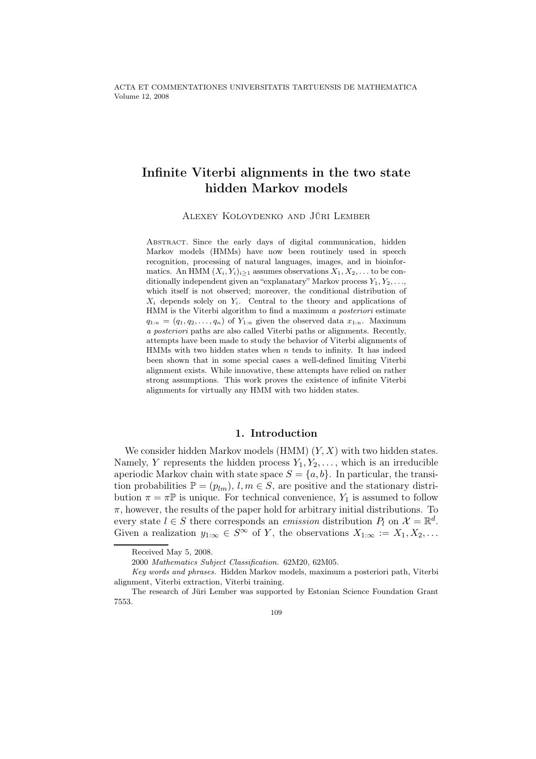ACTA ET COMMENTATIONES UNIVERSITATIS TARTUENSIS DE MATHEMATICA Volume 12, 2008

# Infinite Viterbi alignments in the two state hidden Markov models

Alexey Koloydenko and Jüri Lember

ABSTRACT. Since the early days of digital communication, hidden Markov models (HMMs) have now been routinely used in speech recognition, processing of natural languages, images, and in bioinformatics. An HMM  $(X_i, Y_i)_{i\geq 1}$  assumes observations  $X_1, X_2, \ldots$  to be conditionally independent given an "explanatary" Markov process  $Y_1, Y_2, \ldots$ which itself is not observed; moreover, the conditional distribution of  $X_i$  depends solely on  $Y_i$ . Central to the theory and applications of HMM is the Viterbi algorithm to find a maximum a posteriori estimate  $q_{1:n} = (q_1, q_2, \ldots, q_n)$  of  $Y_{1:n}$  given the observed data  $x_{1:n}$ . Maximum a posteriori paths are also called Viterbi paths or alignments. Recently, attempts have been made to study the behavior of Viterbi alignments of HMMs with two hidden states when  $n$  tends to infinity. It has indeed been shown that in some special cases a well-defined limiting Viterbi alignment exists. While innovative, these attempts have relied on rather strong assumptions. This work proves the existence of infinite Viterbi alignments for virtually any HMM with two hidden states.

## 1. Introduction

We consider hidden Markov models (HMM)  $(Y, X)$  with two hidden states. Namely, Y represents the hidden process  $Y_1, Y_2, \ldots$ , which is an irreducible aperiodic Markov chain with state space  $S = \{a, b\}$ . In particular, the transition probabilities  $\mathbb{P} = (p_{lm}), l, m \in S$ , are positive and the stationary distribution  $\pi = \pi \mathbb{P}$  is unique. For technical convenience,  $Y_1$  is assumed to follow  $\pi$ , however, the results of the paper hold for arbitrary initial distributions. To every state  $l \in S$  there corresponds an *emission* distribution  $P_l$  on  $\mathcal{X} = \mathbb{R}^d$ . Given a realization  $y_{1:\infty} \in S^{\infty}$  of Y, the observations  $X_{1:\infty} := X_1, X_2, \ldots$ 

Received May 5, 2008.

<sup>2000</sup> Mathematics Subject Classification. 62M20, 62M05.

Key words and phrases. Hidden Markov models, maximum a posteriori path, Viterbi alignment, Viterbi extraction, Viterbi training.

The research of Jüri Lember was supported by Estonian Science Foundation Grant 7553.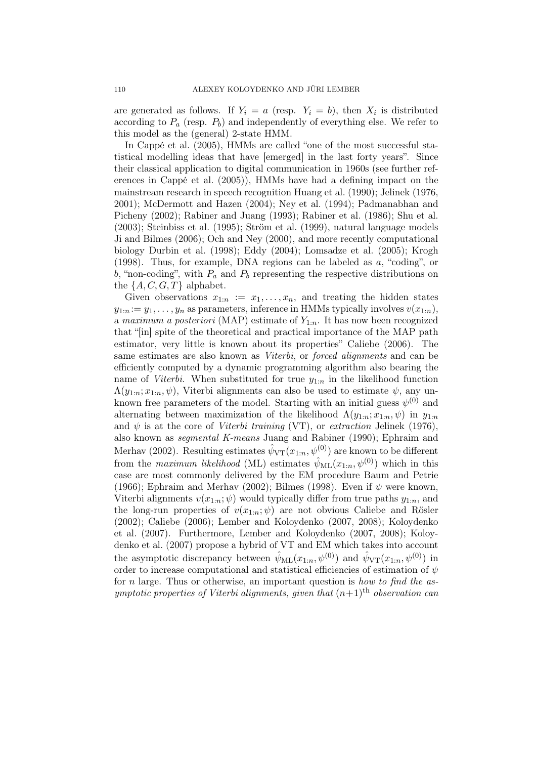are generated as follows. If  $Y_i = a$  (resp.  $Y_i = b$ ), then  $X_i$  is distributed according to  $P_a$  (resp.  $P_b$ ) and independently of everything else. We refer to this model as the (general) 2-state HMM.

In Cappé et al. (2005), HMMs are called "one of the most successful statistical modelling ideas that have [emerged] in the last forty years". Since their classical application to digital communication in 1960s (see further references in Cappé et al. (2005)), HMMs have had a defining impact on the mainstream research in speech recognition Huang et al. (1990); Jelinek (1976, 2001); McDermott and Hazen (2004); Ney et al. (1994); Padmanabhan and Picheny (2002); Rabiner and Juang (1993); Rabiner et al. (1986); Shu et al. (2003); Steinbiss et al. (1995); Ström et al. (1999), natural language models Ji and Bilmes (2006); Och and Ney (2000), and more recently computational biology Durbin et al. (1998); Eddy (2004); Lomsadze et al. (2005); Krogh (1998). Thus, for example, DNA regions can be labeled as a, "coding", or b, "non-coding", with  $P_a$  and  $P_b$  representing the respective distributions on the  $\{A, C, G, T\}$  alphabet.

Given observations  $x_{1:n} := x_1, \ldots, x_n$ , and treating the hidden states  $y_{1:n} := y_1, \ldots, y_n$  as parameters, inference in HMMs typically involves  $v(x_{1:n}),$ a maximum a posteriori (MAP) estimate of  $Y_{1:n}$ . It has now been recognized that "[in] spite of the theoretical and practical importance of the MAP path estimator, very little is known about its properties" Caliebe (2006). The same estimates are also known as Viterbi, or forced alignments and can be efficiently computed by a dynamic programming algorithm also bearing the name of Viterbi. When substituted for true  $y_{1:n}$  in the likelihood function  $\Lambda(y_{1:n}; x_{1:n}, \psi)$ , Viterbi alignments can also be used to estimate  $\psi$ , any unknown free parameters of the model. Starting with an initial guess  $\psi^{(0)}$  and alternating between maximization of the likelihood  $\Lambda(y_{1:n}; x_{1:n}, \psi)$  in  $y_{1:n}$ and  $\psi$  is at the core of *Viterbi training* (VT), or *extraction* Jelinek (1976), also known as segmental K-means Juang and Rabiner (1990); Ephraim and Merhav (2002). Resulting estimates  $\hat{\psi}_{VT}(x_{1:n}, \psi^{(0)})$  are known to be different from the maximum likelihood (ML) estimates  $\hat{\psi}_{ML}(x_{1:n},\psi^{(0)})$  which in this case are most commonly delivered by the EM procedure Baum and Petrie (1966); Ephraim and Merhav (2002); Bilmes (1998). Even if  $\psi$  were known, Viterbi alignments  $v(x_{1:n}; \psi)$  would typically differ from true paths  $y_{1:n}$ , and the long-run properties of  $v(x_{1:n}; \psi)$  are not obvious Caliebe and Rösler (2002); Caliebe (2006); Lember and Koloydenko (2007, 2008); Koloydenko et al. (2007). Furthermore, Lember and Koloydenko (2007, 2008); Koloydenko et al. (2007) propose a hybrid of VT and EM which takes into account the asymptotic discrepancy between  $\hat{\psi}_{ML}(x_{1:n},\psi^{(0)})$  and  $\hat{\psi}_{VT}(x_{1:n},\psi^{(0)})$  in order to increase computational and statistical efficiencies of estimation of  $\psi$ for n large. Thus or otherwise, an important question is how to find the asymptotic properties of Viterbi alignments, given that  $(n+1)$ <sup>th</sup> observation can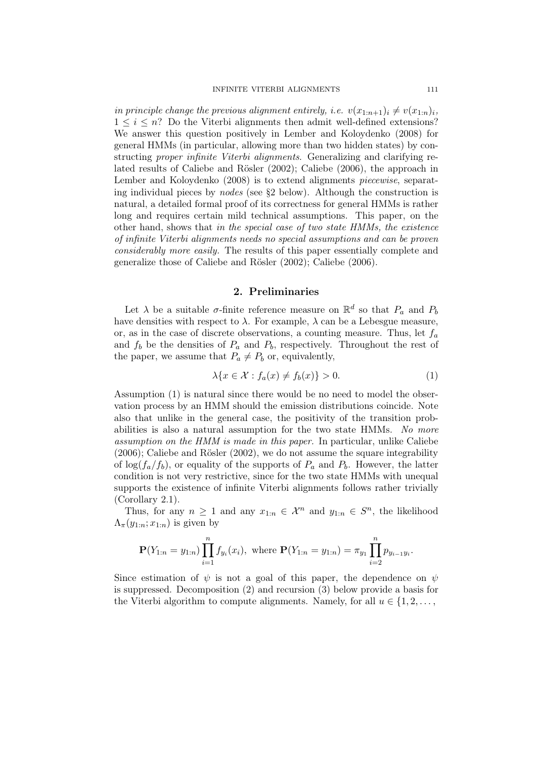in principle change the previous alignment entirely, i.e.  $v(x_{1:n+1})_i \neq v(x_{1:n})_i$ ,  $1 \leq i \leq n$ ? Do the Viterbi alignments then admit well-defined extensions? We answer this question positively in Lember and Koloydenko (2008) for general HMMs (in particular, allowing more than two hidden states) by constructing proper infinite Viterbi alignments. Generalizing and clarifying related results of Caliebe and Rösler (2002); Caliebe (2006), the approach in Lember and Koloydenko (2008) is to extend alignments *piecewise*, separating individual pieces by nodes (see §2 below). Although the construction is natural, a detailed formal proof of its correctness for general HMMs is rather long and requires certain mild technical assumptions. This paper, on the other hand, shows that in the special case of two state HMMs, the existence of infinite Viterbi alignments needs no special assumptions and can be proven considerably more easily. The results of this paper essentially complete and generalize those of Caliebe and Rösler (2002); Caliebe (2006).

### 2. Preliminaries

Let  $\lambda$  be a suitable  $\sigma$ -finite reference measure on  $\mathbb{R}^d$  so that  $P_a$  and  $P_b$ have densities with respect to  $\lambda$ . For example,  $\lambda$  can be a Lebesgue measure, or, as in the case of discrete observations, a counting measure. Thus, let  $f_a$ and  $f_b$  be the densities of  $P_a$  and  $P_b$ , respectively. Throughout the rest of the paper, we assume that  $P_a \neq P_b$  or, equivalently,

$$
\lambda \{x \in \mathcal{X} : f_a(x) \neq f_b(x)\} > 0. \tag{1}
$$

Assumption (1) is natural since there would be no need to model the observation process by an HMM should the emission distributions coincide. Note also that unlike in the general case, the positivity of the transition probabilities is also a natural assumption for the two state HMMs. No more assumption on the HMM is made in this paper. In particular, unlike Caliebe (2006); Caliebe and Rösler (2002), we do not assume the square integrability of  $\log(f_a/f_b)$ , or equality of the supports of  $P_a$  and  $P_b$ . However, the latter condition is not very restrictive, since for the two state HMMs with unequal supports the existence of infinite Viterbi alignments follows rather trivially (Corollary 2.1).

Thus, for any  $n \geq 1$  and any  $x_{1:n} \in \mathcal{X}^n$  and  $y_{1:n} \in S^n$ , the likelihood  $\Lambda_{\pi}(y_{1:n}; x_{1:n})$  is given by

$$
\mathbf{P}(Y_{1:n}=y_{1:n})\prod_{i=1}^{n}f_{y_i}(x_i), \text{ where } \mathbf{P}(Y_{1:n}=y_{1:n})=\pi_{y_1}\prod_{i=2}^{n}p_{y_{i-1}y_i}.
$$

Since estimation of  $\psi$  is not a goal of this paper, the dependence on  $\psi$ is suppressed. Decomposition (2) and recursion (3) below provide a basis for the Viterbi algorithm to compute alignments. Namely, for all  $u \in \{1, 2, \ldots,$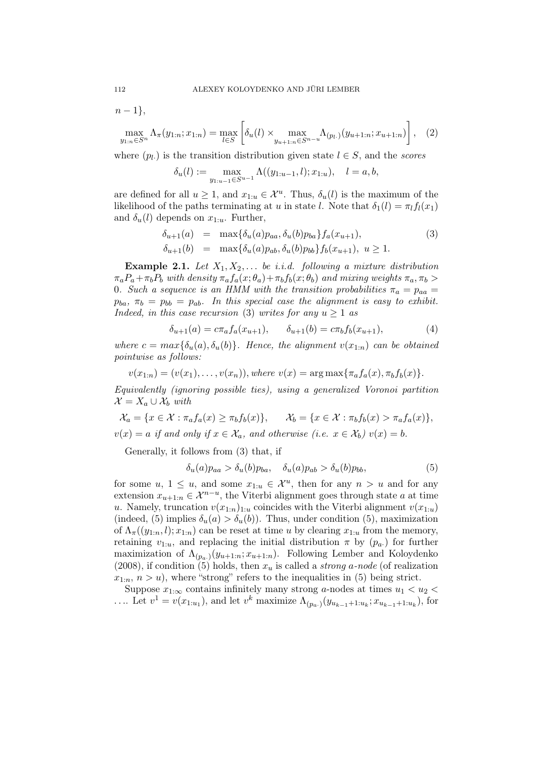$n-1$ ,

$$
\max_{y_{1:n}\in S^n} \Lambda_{\pi}(y_{1:n}; x_{1:n}) = \max_{l\in S} \left[ \delta_u(l) \times \max_{y_{u+1:n}\in S^{n-u}} \Lambda_{(p_l)}(y_{u+1:n}; x_{u+1:n}) \right], \quad (2)
$$

where  $(p_l)$  is the transition distribution given state  $l \in S$ , and the scores

$$
\delta_u(l) := \max_{y_{1:u-1} \in S^{u-1}} \Lambda((y_{1:u-1}, l); x_{1:u}), \quad l = a, b,
$$

are defined for all  $u \geq 1$ , and  $x_{1:u} \in \mathcal{X}^u$ . Thus,  $\delta_u(l)$  is the maximum of the likelihood of the paths terminating at u in state l. Note that  $\delta_1(l) = \pi_l f_l(x_1)$ and  $\delta_u(l)$  depends on  $x_{1:u}$ . Further,

$$
\begin{array}{rcl}\n\delta_{u+1}(a) & = & \max\{\delta_u(a)p_{aa}, \delta_u(b)p_{ba}\} f_a(x_{u+1}), \\
\delta_{u+1}(b) & = & \max\{\delta_u(a)p_{ab}, \delta_u(b)p_{bb}\} f_b(x_{u+1}), \ u \ge 1.\n\end{array} \tag{3}
$$

**Example 2.1.** Let  $X_1, X_2, \ldots$  be i.i.d. following a mixture distribution  $\pi_a P_a + \pi_b P_b$  with density  $\pi_a f_a(x; \theta_a) + \pi_b f_b(x; \theta_b)$  and mixing weights  $\pi_a, \pi_b >$ 0. Such a sequence is an HMM with the transition probabilities  $\pi_a = p_{aa} =$  $p_{ba}$ ,  $\pi_b = p_{bb} = p_{ab}$ . In this special case the alignment is easy to exhibit. Indeed, in this case recursion (3) writes for any  $u \geq 1$  as

$$
\delta_{u+1}(a) = c\pi_a f_a(x_{u+1}), \qquad \delta_{u+1}(b) = c\pi_b f_b(x_{u+1}), \tag{4}
$$

where  $c = max{\delta_u(a), \delta_u(b)}$ . Hence, the alignment  $v(x_{1:n})$  can be obtained pointwise as follows:

$$
v(x_{1:n}) = (v(x_1), \ldots, v(x_n)), where \ v(x) = \arg \max \{ \pi_a f_a(x), \pi_b f_b(x) \}.
$$

Equivalently (ignoring possible ties), using a generalized Voronoi partition  $\mathcal{X} = X_a \cup \mathcal{X}_b$  with

$$
\mathcal{X}_a = \{x \in \mathcal{X} : \pi_a f_a(x) \ge \pi_b f_b(x)\}, \qquad \mathcal{X}_b = \{x \in \mathcal{X} : \pi_b f_b(x) > \pi_a f_a(x)\},
$$
  

$$
v(x) = a \text{ if and only if } x \in \mathcal{X}_a, \text{ and otherwise (i.e. } x \in \mathcal{X}_b) v(x) = b.
$$

Generally, it follows from (3) that, if

$$
\delta_u(a)p_{aa} > \delta_u(b)p_{ba}, \quad \delta_u(a)p_{ab} > \delta_u(b)p_{bb}, \tag{5}
$$

for some  $u, 1 \leq u$ , and some  $x_{1:u} \in \mathcal{X}^u$ , then for any  $n > u$  and for any extension  $x_{u+1:n} \in \mathcal{X}^{n-u}$ , the Viterbi alignment goes through state a at time u. Namely, truncation  $v(x_{1:n})_{1:u}$  coincides with the Viterbi alignment  $v(x_{1:u})$ (indeed, (5) implies  $\delta_u(a) > \delta_u(b)$ . Thus, under condition (5), maximization of  $\Lambda_{\pi}((y_{1:n},l); x_{1:n})$  can be reset at time u by clearing  $x_{1:u}$  from the memory, retaining  $v_{1:u}$ , and replacing the initial distribution  $\pi$  by  $(p_a)$  for further maximization of  $\Lambda_{(p_a)}(y_{u+1:n}; x_{u+1:n})$ . Following Lember and Koloydenko (2008), if condition (5) holds, then  $x_u$  is called a *strong a-node* (of realization  $x_{1:n}$ ,  $n > u$ , where "strong" refers to the inequalities in (5) being strict.

Suppose  $x_{1:\infty}$  contains infinitely many strong a-nodes at times  $u_1 < u_2$ .... Let  $v^1 = v(x_{1:u_1})$ , and let  $v^k$  maximize  $\Lambda_{(p_a)}(y_{u_{k-1}+1:u_k}; x_{u_{k-1}+1:u_k})$ , for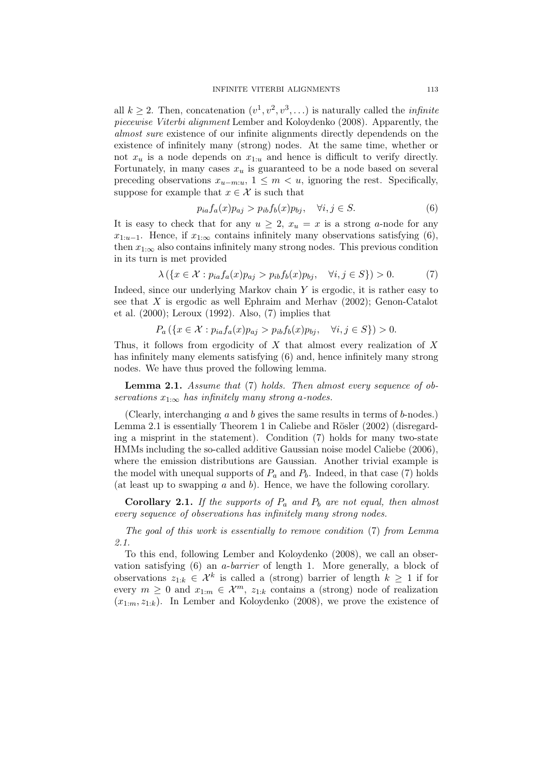all  $k \geq 2$ . Then, concatenation  $(v^1, v^2, v^3, ...)$  is naturally called the *infinite* piecewise Viterbi alignment Lember and Koloydenko (2008). Apparently, the almost sure existence of our infinite alignments directly dependends on the existence of infinitely many (strong) nodes. At the same time, whether or not  $x_u$  is a node depends on  $x_{1:u}$  and hence is difficult to verify directly. Fortunately, in many cases  $x_u$  is guaranteed to be a node based on several preceding observations  $x_{u-m:u}$ ,  $1 \leq m \leq u$ , ignoring the rest. Specifically, suppose for example that  $x \in \mathcal{X}$  is such that

$$
p_{ia}f_a(x)p_{aj} > p_{ib}f_b(x)p_{bj}, \quad \forall i, j \in S. \tag{6}
$$

It is easy to check that for any  $u \geq 2$ ,  $x_u = x$  is a strong a-node for any  $x_{1:u-1}$ . Hence, if  $x_{1:\infty}$  contains infinitely many observations satisfying (6), then  $x_{1:\infty}$  also contains infinitely many strong nodes. This previous condition in its turn is met provided

$$
\lambda(\{x \in \mathcal{X} : p_{ia}f_a(x)p_{aj} > p_{ib}f_b(x)p_{bj}, \quad \forall i, j \in S\}) > 0.
$$
 (7)

Indeed, since our underlying Markov chain  $Y$  is ergodic, it is rather easy to see that X is ergodic as well Ephraim and Merhav (2002); Genon-Catalot et al. (2000); Leroux (1992). Also, (7) implies that

$$
P_a\left(\{x \in \mathcal{X} : p_{ia}f_a(x)p_{aj} > p_{ib}f_b(x)p_{bj}, \quad \forall i, j \in S\}\right) > 0.
$$

Thus, it follows from ergodicity of  $X$  that almost every realization of  $X$ has infinitely many elements satisfying (6) and, hence infinitely many strong nodes. We have thus proved the following lemma.

Lemma 2.1. Assume that (7) holds. Then almost every sequence of observations  $x_{1:\infty}$  has infinitely many strong a-nodes.

(Clearly, interchanging a and b gives the same results in terms of b-nodes.) Lemma 2.1 is essentially Theorem 1 in Caliebe and Rösler (2002) (disregarding a misprint in the statement). Condition (7) holds for many two-state HMMs including the so-called additive Gaussian noise model Caliebe (2006), where the emission distributions are Gaussian. Another trivial example is the model with unequal supports of  $P_a$  and  $P_b$ . Indeed, in that case (7) holds (at least up to swapping  $a$  and  $b$ ). Hence, we have the following corollary.

**Corollary 2.1.** If the supports of  $P_a$  and  $P_b$  are not equal, then almost every sequence of observations has infinitely many strong nodes.

The goal of this work is essentially to remove condition (7) from Lemma 2.1.

To this end, following Lember and Koloydenko (2008), we call an observation satisfying (6) an a-barrier of length 1. More generally, a block of observations  $z_{1:k} \in \mathcal{X}^k$  is called a (strong) barrier of length  $k \geq 1$  if for every  $m \geq 0$  and  $x_{1:m} \in \mathcal{X}^m$ ,  $z_{1:k}$  contains a (strong) node of realization  $(x_{1:m}, z_{1:k})$ . In Lember and Koloydenko (2008), we prove the existence of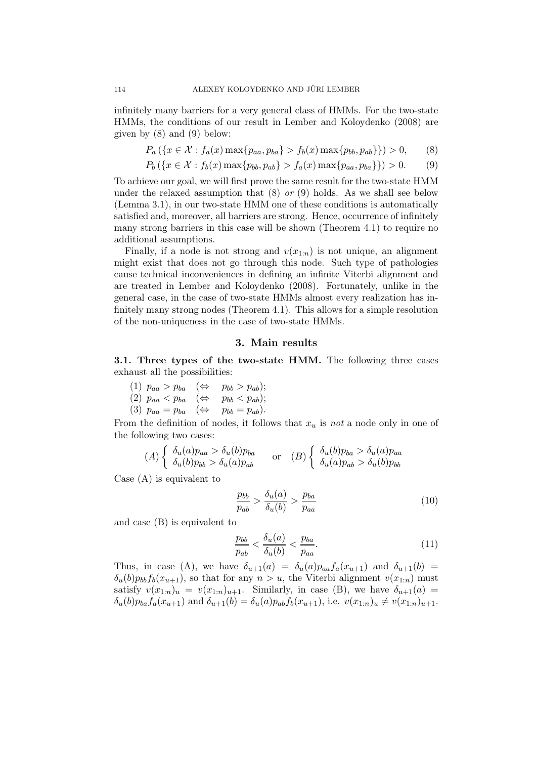infinitely many barriers for a very general class of HMMs. For the two-state HMMs, the conditions of our result in Lember and Koloydenko (2008) are given by  $(8)$  and  $(9)$  below:

$$
P_a(\{x \in \mathcal{X} : f_a(x) \max\{p_{aa}, p_{ba}\} > f_b(x) \max\{p_{bb}, p_{ab}\}\}) > 0,
$$
 (8)

$$
P_b(\{x \in \mathcal{X} : f_b(x) \max\{p_{bb}, p_{ab}\} > f_a(x) \max\{p_{aa}, p_{ba}\}\}) > 0. \tag{9}
$$

To achieve our goal, we will first prove the same result for the two-state HMM under the relaxed assumption that  $(8)$  or  $(9)$  holds. As we shall see below (Lemma 3.1), in our two-state HMM one of these conditions is automatically satisfied and, moreover, all barriers are strong. Hence, occurrence of infinitely many strong barriers in this case will be shown (Theorem 4.1) to require no additional assumptions.

Finally, if a node is not strong and  $v(x_{1:n})$  is not unique, an alignment might exist that does not go through this node. Such type of pathologies cause technical inconveniences in defining an infinite Viterbi alignment and are treated in Lember and Koloydenko (2008). Fortunately, unlike in the general case, in the case of two-state HMMs almost every realization has infinitely many strong nodes (Theorem 4.1). This allows for a simple resolution of the non-uniqueness in the case of two-state HMMs.

#### 3. Main results

3.1. Three types of the two-state HMM. The following three cases exhaust all the possibilities:

(1)  $p_{aa} > p_{ba} \quad (\Leftrightarrow \quad p_{bb} > p_{ab});$ (2)  $p_{aa} < p_{ba}$  ( $\Leftrightarrow$   $p_{bb} < p_{ab}$ ); (3)  $p_{aa} = p_{ba} \quad (\Leftrightarrow \quad p_{bb} = p_{ab}).$ 

From the definition of nodes, it follows that  $x<sub>u</sub>$  is not a node only in one of the following two cases:

$$
(A) \begin{cases} \delta_u(a)p_{aa} > \delta_u(b)p_{ba} \\ \delta_u(b)p_{bb} > \delta_u(a)p_{ab} \end{cases} \text{ or } (B) \begin{cases} \delta_u(b)p_{ba} > \delta_u(a)p_{aa} \\ \delta_u(a)p_{ab} > \delta_u(b)p_{bb} \end{cases}
$$

Case (A) is equivalent to

$$
\frac{p_{bb}}{p_{ab}} > \frac{\delta_u(a)}{\delta_u(b)} > \frac{p_{ba}}{p_{aa}} \tag{10}
$$

and case (B) is equivalent to

$$
\frac{p_{bb}}{p_{ab}} < \frac{\delta_u(a)}{\delta_u(b)} < \frac{p_{ba}}{p_{aa}}.\tag{11}
$$

Thus, in case (A), we have  $\delta_{u+1}(a) = \delta_u(a)p_{aa}f_a(x_{u+1})$  and  $\delta_{u+1}(b) =$  $\delta_u(b)p_{bb}f_b(x_{u+1}),$  so that for any  $n > u$ , the Viterbi alignment  $v(x_{1:n})$  must satisfy  $v(x_{1:n})_u = v(x_{1:n})_{u+1}$ . Similarly, in case (B), we have  $\delta_{u+1}(a)$  =  $\delta_u(b)p_{ba}f_a(x_{u+1})$  and  $\delta_{u+1}(b) = \delta_u(a)p_{ab}f_b(x_{u+1}),$  i.e.  $v(x_{1:n})_u \neq v(x_{1:n})_{u+1}.$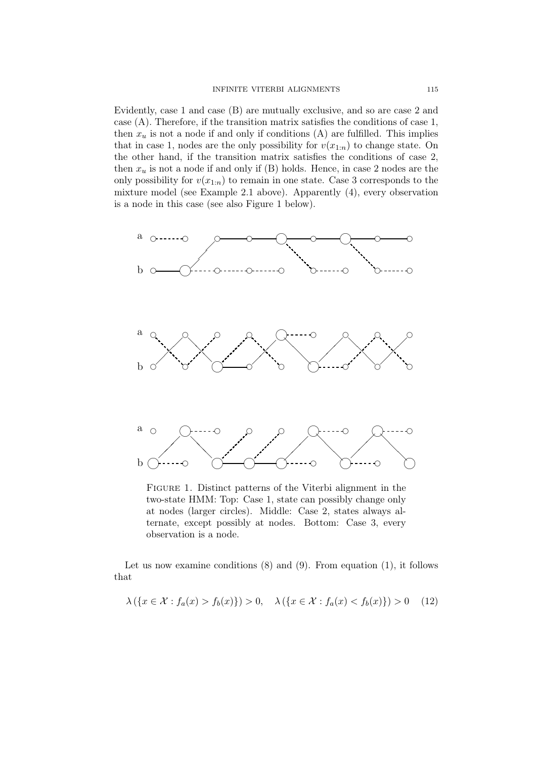Evidently, case 1 and case (B) are mutually exclusive, and so are case 2 and case (A). Therefore, if the transition matrix satisfies the conditions of case 1, then  $x_u$  is not a node if and only if conditions (A) are fulfilled. This implies that in case 1, nodes are the only possibility for  $v(x_{1:n})$  to change state. On the other hand, if the transition matrix satisfies the conditions of case 2, then  $x_u$  is not a node if and only if (B) holds. Hence, in case 2 nodes are the only possibility for  $v(x_{1:n})$  to remain in one state. Case 3 corresponds to the mixture model (see Example 2.1 above). Apparently (4), every observation is a node in this case (see also Figure 1 below).



Figure 1. Distinct patterns of the Viterbi alignment in the two-state HMM: Top: Case 1, state can possibly change only at nodes (larger circles). Middle: Case 2, states always alternate, except possibly at nodes. Bottom: Case 3, every observation is a node.

Let us now examine conditions  $(8)$  and  $(9)$ . From equation  $(1)$ , it follows that

$$
\lambda(\{x \in \mathcal{X} : f_a(x) > f_b(x)\}) > 0, \quad \lambda(\{x \in \mathcal{X} : f_a(x) < f_b(x)\}) > 0 \tag{12}
$$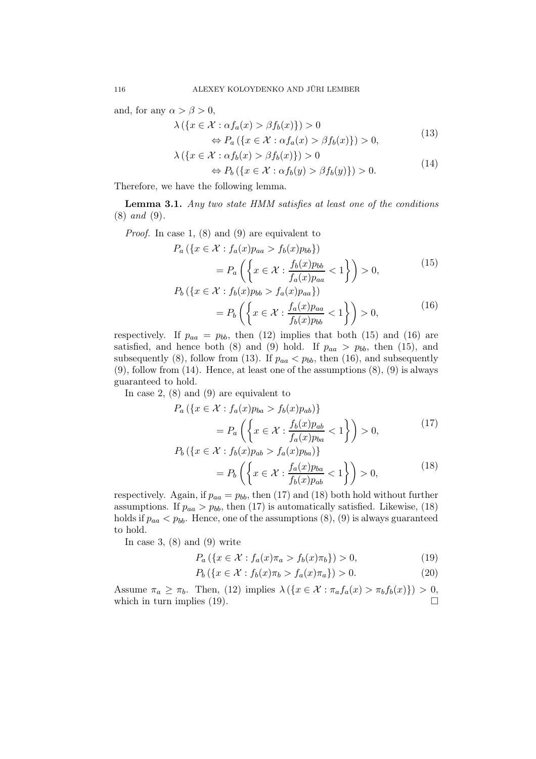and, for any  $\alpha > \beta > 0$ ,

$$
\lambda(\lbrace x \in \mathcal{X} : \alpha f_a(x) > \beta f_b(x) \rbrace) > 0
$$
  
\n
$$
\Leftrightarrow P_a(\lbrace x \in \mathcal{X} : \alpha f_a(x) > \beta f_b(x) \rbrace) > 0,
$$
\n(13)

$$
\lambda\left(\left\{x \in \mathcal{X} : \alpha f_b(x) > \beta f_b(x)\right\}\right) > 0\tag{14}
$$

$$
\Leftrightarrow P_b(\{x \in \mathcal{X} : \alpha f_b(y) > \beta f_b(y)\}) > 0.
$$

Therefore, we have the following lemma.

Lemma 3.1. Any two state HMM satisfies at least one of the conditions (8) and (9).

Proof. In case 1, (8) and (9) are equivalent to

$$
P_a\left(\left\{x \in \mathcal{X} : f_a(x)p_{aa} > f_b(x)p_{bb}\right\}\right)
$$
  
= 
$$
P_a\left(\left\{x \in \mathcal{X} : \frac{f_b(x)p_{bb}}{f_a(x)p_{aa}} < 1\right\}\right) > 0,
$$
 (15)  

$$
P_b\left(\left\{x \in \mathcal{X} : f_b(x)p_{bb} > f_a(x)p_{aa}\right\}\right)
$$

$$
\begin{aligned} \mathcal{L} \in \mathcal{X} \cdot f_b(x) p_{bb} > f_a(x) p_{aa} f \\ &= P_b \left( \left\{ x \in \mathcal{X} : \frac{f_a(x) p_{aa}}{f_b(x) p_{bb}} < 1 \right\} \right) > 0, \end{aligned} \tag{16}
$$

respectively. If  $p_{aa} = p_{bb}$ , then (12) implies that both (15) and (16) are satisfied, and hence both (8) and (9) hold. If  $p_{aa} > p_{bb}$ , then (15), and subsequently (8), follow from (13). If  $p_{aa} < p_{bb}$ , then (16), and subsequently (9), follow from (14). Hence, at least one of the assumptions (8), (9) is always guaranteed to hold.

In case 2, (8) and (9) are equivalent to

$$
P_a\left(\left\{x \in \mathcal{X} : f_a(x)p_{ba} > f_b(x)p_{ab}\right\}\right)
$$
  
\n
$$
= P_a\left(\left\{x \in \mathcal{X} : \frac{f_b(x)p_{ab}}{f_a(x)p_{ba}} < 1\right\}\right) > 0,
$$
  
\n
$$
P_b\left(\left\{x \in \mathcal{X} : f_b(x)p_{ab} > f_a(x)p_{ba}\right\}\right)
$$
  
\n
$$
= P_b\left(\left\{x \in \mathcal{X} : \frac{f_a(x)p_{ba}}{f_b(x)p_{ab}} < 1\right\}\right) > 0,
$$
\n(18)

respectively. Again, if  $p_{aa} = p_{bb}$ , then (17) and (18) both hold without further assumptions. If  $p_{aa} > p_{bb}$ , then (17) is automatically satisfied. Likewise, (18) holds if  $p_{aa} < p_{bb}$ . Hence, one of the assumptions  $(8), (9)$  is always guaranteed to hold.

In case 3,  $(8)$  and  $(9)$  write

$$
P_a\left(\{x \in \mathcal{X} : f_a(x)\pi_a > f_b(x)\pi_b\}\right) > 0,\tag{19}
$$

$$
P_b(\{x \in \mathcal{X} : f_b(x)\pi_b > f_a(x)\pi_a\}) > 0.
$$
 (20)

Assume  $\pi_a \geq \pi_b$ . Then, (12) implies  $\lambda(\lbrace x \in \mathcal{X} : \pi_a f_a(x) > \pi_b f_b(x) \rbrace) > 0$ , which in turn implies (19).  $\Box$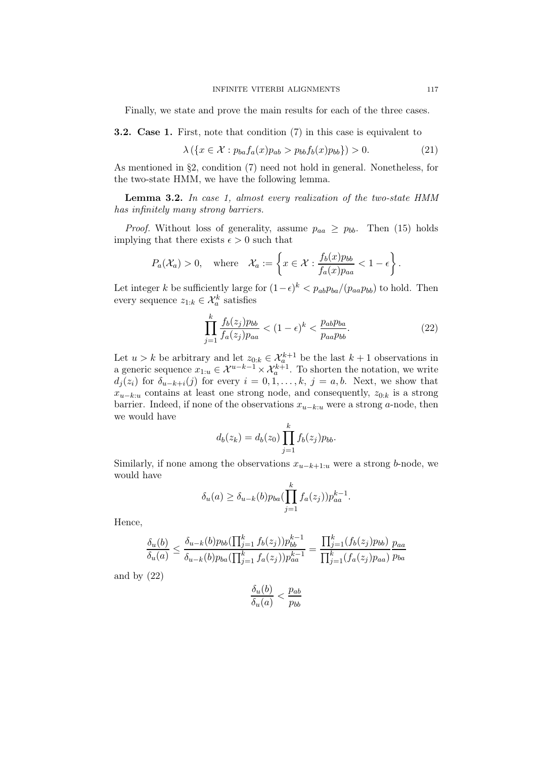Finally, we state and prove the main results for each of the three cases.

3.2. Case 1. First, note that condition (7) in this case is equivalent to

$$
\lambda(\lbrace x \in \mathcal{X} : p_{ba}f_a(x)p_{ab} > p_{bb}f_b(x)p_{bb} \rbrace) > 0.
$$
 (21)

As mentioned in §2, condition (7) need not hold in general. Nonetheless, for the two-state HMM, we have the following lemma.

Lemma 3.2. In case 1, almost every realization of the two-state HMM has infinitely many strong barriers.

*Proof.* Without loss of generality, assume  $p_{aa} \geq p_{bb}$ . Then (15) holds implying that there exists  $\epsilon > 0$  such that

$$
P_a(\mathcal{X}_a) > 0
$$
, where  $\mathcal{X}_a := \left\{ x \in \mathcal{X} : \frac{f_b(x)p_{bb}}{f_a(x)p_{aa}} < 1 - \epsilon \right\}.$ 

Let integer k be sufficiently large for  $(1-\epsilon)^k < p_{ab}p_{ba}/(p_{aa}p_{bb})$  to hold. Then every sequence  $z_{1:k} \in \mathcal{X}_a^k$  satisfies

$$
\prod_{j=1}^{k} \frac{f_b(z_j) p_{bb}}{f_a(z_j) p_{aa}} < (1 - \epsilon)^k < \frac{p_{ab} p_{ba}}{p_{aa} p_{bb}}.\tag{22}
$$

Let  $u > k$  be arbitrary and let  $z_{0:k} \in \mathcal{X}_{a}^{k+1}$  be the last  $k+1$  observations in a generic sequence  $x_{1:u} \in \mathcal{X}^{u-k-1} \times \mathcal{X}_a^{k+1}$ . To shorten the notation, we write  $d_j(z_i)$  for  $\delta_{u-k+i}(j)$  for every  $i = 0, 1, \ldots, k, j = a, b$ . Next, we show that  $x_{u-k:u}$  contains at least one strong node, and consequently,  $z_{0:k}$  is a strong barrier. Indeed, if none of the observations  $x_{u-k:u}$  were a strong a-node, then we would have

$$
d_b(z_k) = d_b(z_0) \prod_{j=1}^k f_b(z_j) p_{bb}.
$$

Similarly, if none among the observations  $x_{u-k+1:u}$  were a strong b-node, we would have

$$
\delta_u(a) \geq \delta_{u-k}(b) p_{ba}(\prod_{j=1}^k f_a(z_j)) p_{aa}^{k-1}.
$$

Hence,

$$
\frac{\delta_u(b)}{\delta_u(a)} \le \frac{\delta_{u-k}(b)p_{bb}(\prod_{j=1}^k f_b(z_j))p_{bb}^{k-1}}{\delta_{u-k}(b)p_{ba}(\prod_{j=1}^k f_a(z_j))p_{aa}^{k-1}} = \frac{\prod_{j=1}^k (f_b(z_j)p_{bb})}{\prod_{j=1}^k (f_a(z_j)p_{aa})}\frac{p_{aa}}{p_{ba}}
$$

and by  $(22)$ 

$$
\frac{\delta_u(b)}{\delta_u(a)} < \frac{p_{ab}}{p_{bb}}
$$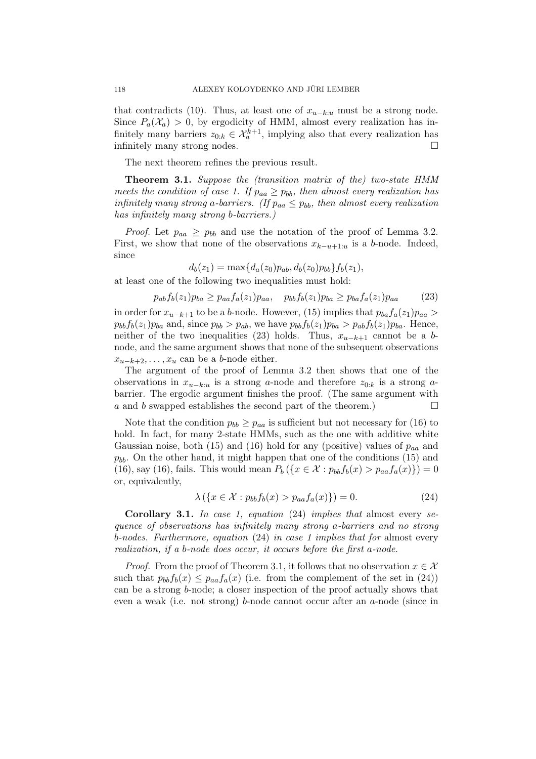that contradicts (10). Thus, at least one of  $x_{u-k:u}$  must be a strong node. Since  $P_a(\mathcal{X}_a) > 0$ , by ergodicity of HMM, almost every realization has infinitely many barriers  $z_{0:k} \in \mathcal{X}_a^{k+1}$ , implying also that every realization has infinitely many strong nodes.

The next theorem refines the previous result.

Theorem 3.1. Suppose the (transition matrix of the) two-state HMM meets the condition of case 1. If  $p_{aa} \geq p_{bb}$ , then almost every realization has infinitely many strong a-barriers. (If  $p_{aa} \leq p_{bb}$ , then almost every realization has infinitely many strong b-barriers.)

*Proof.* Let  $p_{aa} \geq p_{bb}$  and use the notation of the proof of Lemma 3.2. First, we show that none of the observations  $x_{k-u+1:u}$  is a b-node. Indeed, since

$$
d_b(z_1) = \max\{d_a(z_0)p_{ab}, d_b(z_0)p_{bb}\}f_b(z_1),
$$

at least one of the following two inequalities must hold:

$$
p_{ab}f_b(z_1)p_{ba} \ge p_{aa}f_a(z_1)p_{aa}, \quad p_{bb}f_b(z_1)p_{ba} \ge p_{ba}f_a(z_1)p_{aa} \tag{23}
$$

in order for  $x_{u-k+1}$  to be a b-node. However, (15) implies that  $p_{ba}f_a(z_1)p_{aa} >$  $p_{bb}f_b(z_1)p_{ba}$  and, since  $p_{bb} > p_{ab}$ , we have  $p_{bb}f_b(z_1)p_{ba} > p_{ab}f_b(z_1)p_{ba}$ . Hence, neither of the two inequalities (23) holds. Thus,  $x_{u-k+1}$  cannot be a bnode, and the same argument shows that none of the subsequent observations  $x_{u-k+2},\ldots,x_u$  can be a b-node either.

The argument of the proof of Lemma 3.2 then shows that one of the observations in  $x_{u-k:u}$  is a strong a-node and therefore  $z_{0:k}$  is a strong abarrier. The ergodic argument finishes the proof. (The same argument with a and b swapped establishes the second part of the theorem.)  $\Box$ 

Note that the condition  $p_{bb} \geq p_{aa}$  is sufficient but not necessary for (16) to hold. In fact, for many 2-state HMMs, such as the one with additive white Gaussian noise, both (15) and (16) hold for any (positive) values of  $p_{aa}$  and  $p_{bb}$ . On the other hand, it might happen that one of the conditions (15) and (16), say (16), fails. This would mean  $P_b(\{x \in \mathcal{X} : p_{bb}f_b(x) > p_{aa}f_a(x)\}) = 0$ or, equivalently,

$$
\lambda\left(\left\{x \in \mathcal{X} : p_{bb}f_b(x) > p_{aa}f_a(x)\right\}\right) = 0. \tag{24}
$$

**Corollary 3.1.** In case 1, equation  $(24)$  implies that almost every sequence of observations has infinitely many strong a-barriers and no strong b-nodes. Furthermore, equation (24) in case 1 implies that for almost every realization, if a b-node does occur, it occurs before the first a-node.

*Proof.* From the proof of Theorem 3.1, it follows that no observation  $x \in \mathcal{X}$ such that  $p_{bb}f_b(x) \leq p_{aa}f_a(x)$  (i.e. from the complement of the set in (24)) can be a strong b-node; a closer inspection of the proof actually shows that even a weak (i.e. not strong) b-node cannot occur after an a-node (since in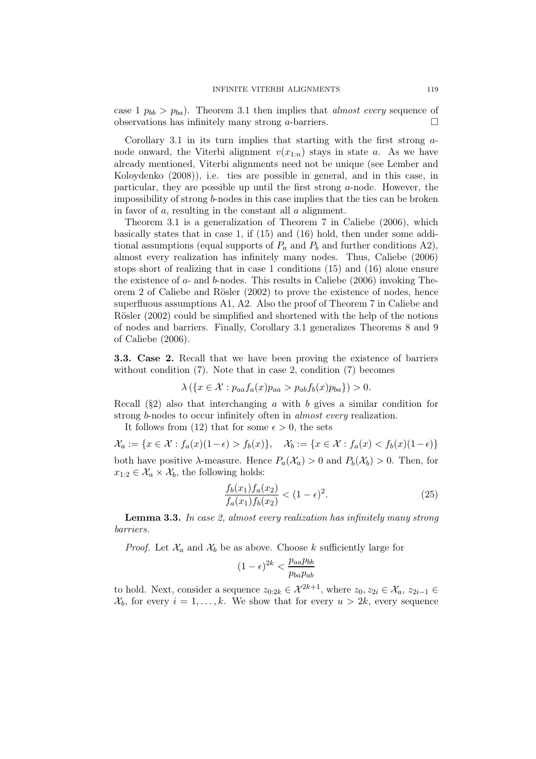case  $1 p_{bb} > p_{ba}$ . Theorem 3.1 then implies that *almost every* sequence of observations has infinitely many strong a-barriers.  $\Box$ 

Corollary 3.1 in its turn implies that starting with the first strong anode onward, the Viterbi alignment  $v(x_{1:n})$  stays in state a. As we have already mentioned, Viterbi alignments need not be unique (see Lember and Koloydenko (2008)), i.e. ties are possible in general, and in this case, in particular, they are possible up until the first strong  $a$ -node. However, the impossibility of strong b-nodes in this case implies that the ties can be broken in favor of  $a$ , resulting in the constant all  $a$  alignment.

Theorem 3.1 is a generalization of Theorem 7 in Caliebe (2006), which basically states that in case 1, if (15) and (16) hold, then under some additional assumptions (equal supports of  $P_a$  and  $P_b$  and further conditions A2), almost every realization has infinitely many nodes. Thus, Caliebe (2006) stops short of realizing that in case 1 conditions (15) and (16) alone ensure the existence of  $a$ - and  $b$ -nodes. This results in Caliebe (2006) invoking Theorem 2 of Caliebe and Rösler (2002) to prove the existence of nodes, hence superfluous assumptions A1, A2. Also the proof of Theorem 7 in Caliebe and Rösler (2002) could be simplified and shortened with the help of the notions of nodes and barriers. Finally, Corollary 3.1 generalizes Theorems 8 and 9 of Caliebe (2006).

3.3. Case 2. Recall that we have been proving the existence of barriers without condition  $(7)$ . Note that in case 2, condition  $(7)$  becomes

$$
\lambda(\lbrace x \in \mathcal{X} : p_{aa}f_a(x)p_{aa} > p_{ab}f_b(x)p_{ba} \rbrace) > 0.
$$

Recall  $(\S_2)$  also that interchanging a with b gives a similar condition for strong *b*-nodes to occur infinitely often in *almost every* realization.

It follows from (12) that for some  $\epsilon > 0$ , the sets

 $\mathcal{X}_a := \{x \in \mathcal{X} : f_a(x)(1-\epsilon) > f_b(x)\}, \quad \mathcal{X}_b := \{x \in \mathcal{X} : f_a(x) < f_b(x)(1-\epsilon)\}\$ both have positive  $\lambda$ -measure. Hence  $P_a(\mathcal{X}_a) > 0$  and  $P_b(\mathcal{X}_b) > 0$ . Then, for  $x_{1:2} \in \mathcal{X}_a \times \mathcal{X}_b$ , the following holds:

$$
\frac{f_b(x_1)f_a(x_2)}{f_a(x_1)f_b(x_2)} < (1 - \epsilon)^2. \tag{25}
$$

Lemma 3.3. In case 2, almost every realization has infinitely many strong barriers.

*Proof.* Let  $\mathcal{X}_a$  and  $\mathcal{X}_b$  be as above. Choose k sufficiently large for

$$
(1 - \epsilon)^{2k} < \frac{p_{aa} p_{bb}}{p_{ba} p_{ab}}
$$

to hold. Next, consider a sequence  $z_{0:2k} \in \mathcal{X}^{2k+1}$ , where  $z_0, z_{2i} \in \mathcal{X}_a, z_{2i-1} \in$  $\mathcal{X}_b$ , for every  $i = 1, \ldots, k$ . We show that for every  $u > 2k$ , every sequence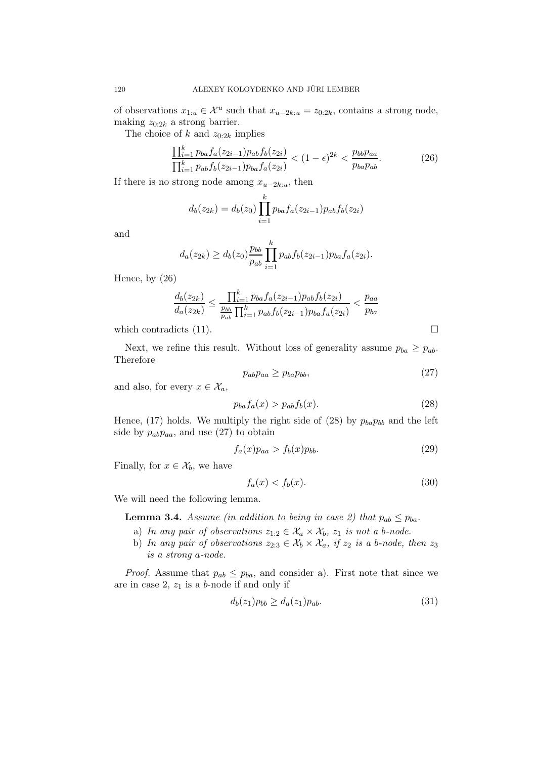of observations  $x_{1:u} \in \mathcal{X}^u$  such that  $x_{u-2k:u} = z_{0:2k}$ , contains a strong node, making  $z_{0:2k}$  a strong barrier.

The choice of k and  $z_{0:2k}$  implies

$$
\frac{\prod_{i=1}^{k} p_{ba} f_a(z_{2i-1}) p_{ab} f_b(z_{2i})}{\prod_{i=1}^{k} p_{ab} f_b(z_{2i-1}) p_{ba} f_a(z_{2i})} < (1 - \epsilon)^{2k} < \frac{p_{bb} p_{aa}}{p_{ba} p_{ab}}.\tag{26}
$$

If there is no strong node among  $x_{u-2k:u}$ , then

$$
d_b(z_{2k}) = d_b(z_0) \prod_{i=1}^k p_{ba} f_a(z_{2i-1}) p_{ab} f_b(z_{2i})
$$

and

$$
d_a(z_{2k}) \geq d_b(z_0) \frac{p_{bb}}{p_{ab}} \prod_{i=1}^k p_{ab} f_b(z_{2i-1}) p_{ba} f_a(z_{2i}).
$$

Hence, by (26)

$$
\frac{d_b(z_{2k})}{d_a(z_{2k})} \le \frac{\prod_{i=1}^k p_{ba} f_a(z_{2i-1}) p_{ab} f_b(z_{2i})}{\prod_{i=1}^k p_{ab} f_b(z_{2i-1}) p_{ba} f_a(z_{2i})} < \frac{p_{aa}}{p_{ba}}
$$

which contradicts (11).  $\Box$ 

Next, we refine this result. Without loss of generality assume  $p_{ba} \geq p_{ab}$ . Therefore

$$
p_{ab}p_{aa} \ge p_{ba}p_{bb},\tag{27}
$$

and also, for every  $x \in \mathcal{X}_a$ ,

$$
p_{ba}f_a(x) > p_{ab}f_b(x). \tag{28}
$$

Hence, (17) holds. We multiply the right side of (28) by  $p_{ba}p_{bb}$  and the left side by  $p_{ab}p_{aa}$ , and use (27) to obtain

$$
f_a(x)p_{aa} > f_b(x)p_{bb}.\tag{29}
$$

Finally, for  $x \in \mathcal{X}_b$ , we have

$$
f_a(x) < f_b(x). \tag{30}
$$

We will need the following lemma.

**Lemma 3.4.** Assume (in addition to being in case 2) that  $p_{ab} \leq p_{ba}$ .

- a) In any pair of observations  $z_{1:2} \in \mathcal{X}_a \times \mathcal{X}_b$ ,  $z_1$  is not a b-node.
- b) In any pair of observations  $z_{2:3} \in \mathcal{X}_b \times \mathcal{X}_a$ , if  $z_2$  is a b-node, then  $z_3$ is a strong a-node.

*Proof.* Assume that  $p_{ab} \leq p_{ba}$ , and consider a). First note that since we are in case 2,  $z_1$  is a b-node if and only if

$$
d_b(z_1)p_{bb} \ge d_a(z_1)p_{ab}.\tag{31}
$$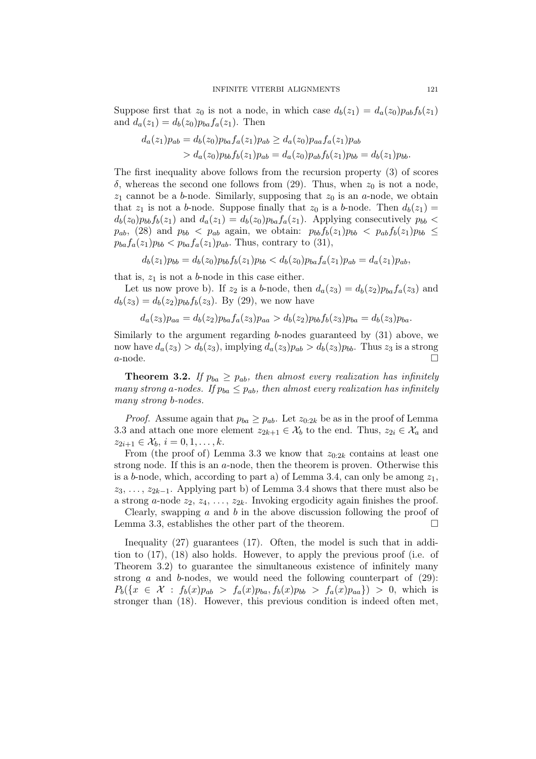Suppose first that  $z_0$  is not a node, in which case  $d_b(z_1) = d_a(z_0)p_{ab}f_b(z_1)$ and  $d_a(z_1) = d_b(z_0) p_{ba} f_a(z_1)$ . Then

$$
d_a(z_1)p_{ab} = d_b(z_0)p_{ba}f_a(z_1)p_{ab} \ge d_a(z_0)p_{aa}f_a(z_1)p_{ab}
$$
  
> 
$$
d_a(z_0)p_{bb}f_b(z_1)p_{ab} = d_a(z_0)p_{ab}f_b(z_1)p_{bb} = d_b(z_1)p_{bb}.
$$

The first inequality above follows from the recursion property (3) of scores  $δ$ , whereas the second one follows from (29). Thus, when  $z<sub>0</sub>$  is not a node,  $z_1$  cannot be a b-node. Similarly, supposing that  $z_0$  is an a-node, we obtain that  $z_1$  is not a b-node. Suppose finally that  $z_0$  is a b-node. Then  $d_b(z_1)$  =  $d_b(z_0)p_{bb}f_b(z_1)$  and  $d_a(z_1) = d_b(z_0)p_{ba}f_a(z_1)$ . Applying consecutively  $p_{bb}$  $p_{ab}$ , (28) and  $p_{bb}$  <  $p_{ab}$  again, we obtain:  $p_{bb}f_b(z_1)p_{bb}$  <  $p_{ab}f_b(z_1)p_{bb}$   $\leq$  $p_{ba}f_a(z_1)p_{bb} < p_{ba}f_a(z_1)p_{ab}$ . Thus, contrary to (31),

$$
d_b(z_1)p_{bb} = d_b(z_0)p_{bb}f_b(z_1)p_{bb} < d_b(z_0)p_{ba}f_a(z_1)p_{ab} = d_a(z_1)p_{ab},
$$

that is,  $z_1$  is not a b-node in this case either.

Let us now prove b). If  $z_2$  is a b-node, then  $d_a(z_3) = d_b(z_2)p_{ba}f_a(z_3)$  and  $d_b(z_3) = d_b(z_2) p_{bb} f_b(z_3)$ . By (29), we now have

$$
d_a(z_3)p_{aa} = d_b(z_2)p_{ba}f_a(z_3)p_{aa} > d_b(z_2)p_{bb}f_b(z_3)p_{ba} = d_b(z_3)p_{ba}.
$$

Similarly to the argument regarding b-nodes guaranteed by (31) above, we now have  $d_a(z_3) > d_b(z_3)$ , implying  $d_a(z_3)p_{ab} > d_b(z_3)p_{bb}$ . Thus  $z_3$  is a strong  $a$ -node.

**Theorem 3.2.** If  $p_{ba} \geq p_{ab}$ , then almost every realization has infinitely many strong a-nodes. If  $p_{ba} \leq p_{ab}$ , then almost every realization has infinitely many strong b-nodes.

*Proof.* Assume again that  $p_{ba} \geq p_{ab}$ . Let  $z_{0,2k}$  be as in the proof of Lemma 3.3 and attach one more element  $z_{2k+1} \in \mathcal{X}_b$  to the end. Thus,  $z_{2i} \in \mathcal{X}_a$  and  $z_{2i+1} \in \mathcal{X}_b, i = 0, 1, \ldots, k.$ 

From (the proof of) Lemma 3.3 we know that  $z_{0:2k}$  contains at least one strong node. If this is an  $a$ -node, then the theorem is proven. Otherwise this is a b-node, which, according to part a) of Lemma 3.4, can only be among  $z_1$ ,  $z_3, \ldots, z_{2k-1}$ . Applying part b) of Lemma 3.4 shows that there must also be a strong a-node  $z_2, z_4, \ldots, z_{2k}$ . Invoking ergodicity again finishes the proof.

Clearly, swapping  $\alpha$  and  $\dot{\theta}$  in the above discussion following the proof of Lemma 3.3, establishes the other part of the theorem.

Inequality (27) guarantees (17). Often, the model is such that in addition to (17), (18) also holds. However, to apply the previous proof (i.e. of Theorem 3.2) to guarantee the simultaneous existence of infinitely many strong a and b-nodes, we would need the following counterpart of  $(29)$ :  $P_b(\lbrace x \in \mathcal{X} : f_b(x)p_{ab} > f_a(x)p_{ba}, f_b(x)p_{bb} > f_a(x)p_{aa} \rbrace) > 0$ , which is stronger than (18). However, this previous condition is indeed often met,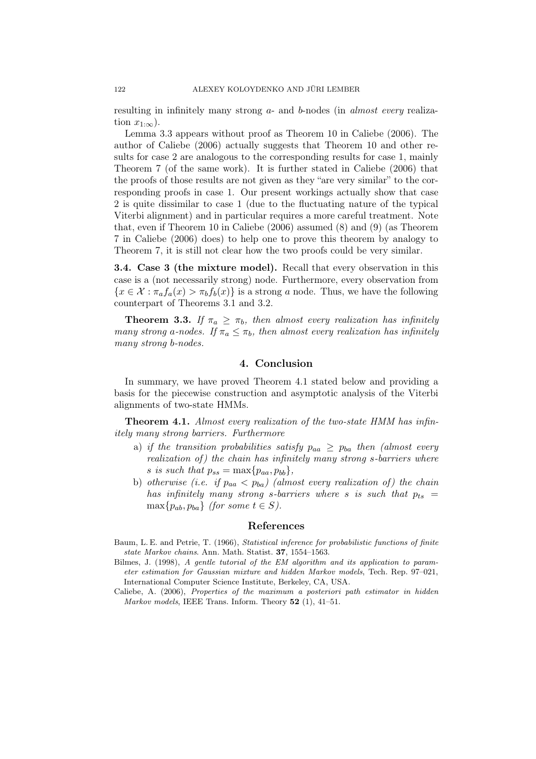resulting in infinitely many strong a- and b-nodes (in almost every realization  $x_{1:\infty}$ ).

Lemma 3.3 appears without proof as Theorem 10 in Caliebe (2006). The author of Caliebe (2006) actually suggests that Theorem 10 and other results for case 2 are analogous to the corresponding results for case 1, mainly Theorem 7 (of the same work). It is further stated in Caliebe (2006) that the proofs of those results are not given as they "are very similar" to the corresponding proofs in case 1. Our present workings actually show that case 2 is quite dissimilar to case 1 (due to the fluctuating nature of the typical Viterbi alignment) and in particular requires a more careful treatment. Note that, even if Theorem 10 in Caliebe (2006) assumed (8) and (9) (as Theorem 7 in Caliebe (2006) does) to help one to prove this theorem by analogy to Theorem 7, it is still not clear how the two proofs could be very similar.

3.4. Case 3 (the mixture model). Recall that every observation in this case is a (not necessarily strong) node. Furthermore, every observation from  ${x \in \mathcal{X} : \pi_a f_a(x) > \pi_b f_b(x)}$  is a strong a node. Thus, we have the following counterpart of Theorems 3.1 and 3.2.

**Theorem 3.3.** If  $\pi_a \geq \pi_b$ , then almost every realization has infinitely many strong a-nodes. If  $\pi_a \leq \pi_b$ , then almost every realization has infinitely many strong b-nodes.

#### 4. Conclusion

In summary, we have proved Theorem 4.1 stated below and providing a basis for the piecewise construction and asymptotic analysis of the Viterbi alignments of two-state HMMs.

**Theorem 4.1.** Almost every realization of the two-state HMM has infinitely many strong barriers. Furthermore

- a) if the transition probabilities satisfy  $p_{aa} \geq p_{ba}$  then (almost every realization of) the chain has infinitely many strong s-barriers where s is such that  $p_{ss} = \max\{p_{aa}, p_{bb}\},\$
- b) otherwise (i.e. if  $p_{aa} < p_{ba}$ ) (almost every realization of) the chain has infinitely many strong s-barriers where s is such that  $p_{ts}$  =  $\max\{p_{ab},p_{ba}\}\$  (for some  $t \in S$ ).

#### References

- Baum, L. E. and Petrie, T. (1966), Statistical inference for probabilistic functions of finite state Markov chains. Ann. Math. Statist. 37, 1554–1563.
- Bilmes, J. (1998), A gentle tutorial of the EM algorithm and its application to parameter estimation for Gaussian mixture and hidden Markov models, Tech. Rep. 97–021, International Computer Science Institute, Berkeley, CA, USA.
- Caliebe, A. (2006), Properties of the maximum a posteriori path estimator in hidden *Markov models*, IEEE Trans. Inform. Theory  $52$  (1),  $41-51$ .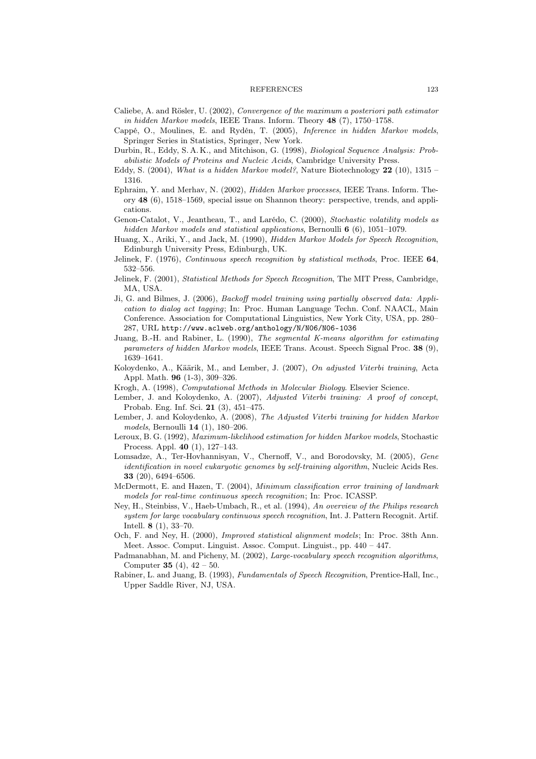#### REFERENCES 123

- Caliebe, A. and Rösler, U. (2002), Convergence of the maximum a posteriori path estimator in hidden Markov models, IEEE Trans. Inform. Theory 48 (7), 1750–1758.
- Cappé, O., Moulines, E. and Rydén, T. (2005), Inference in hidden Markov models, Springer Series in Statistics, Springer, New York.
- Durbin, R., Eddy, S. A. K., and Mitchison, G. (1998), Biological Sequence Analysis: Probabilistic Models of Proteins and Nucleic Acids, Cambridge University Press.
- Eddy, S. (2004), What is a hidden Markov model?, Nature Biotechnology  $22$  (10), 1315 1316.
- Ephraim, Y. and Merhav, N. (2002), Hidden Markov processes, IEEE Trans. Inform. Theory 48 (6), 1518–1569, special issue on Shannon theory: perspective, trends, and applications.
- Genon-Catalot, V., Jeantheau, T., and Larédo, C. (2000), Stochastic volatility models as hidden Markov models and statistical applications, Bernoulli 6 (6), 1051-1079.
- Huang, X., Ariki, Y., and Jack, M. (1990), Hidden Markov Models for Speech Recognition, Edinburgh University Press, Edinburgh, UK.
- Jelinek, F. (1976), Continuous speech recognition by statistical methods, Proc. IEEE 64, 532–556.
- Jelinek, F. (2001), Statistical Methods for Speech Recognition, The MIT Press, Cambridge, MA, USA.
- Ji, G. and Bilmes, J. (2006), Backoff model training using partially observed data: Application to dialog act tagging; In: Proc. Human Language Techn. Conf. NAACL, Main Conference. Association for Computational Linguistics, New York City, USA, pp. 280– 287, URL http://www.aclweb.org/anthology/N/N06/N06-1036
- Juang, B.-H. and Rabiner, L. (1990), The segmental K-means algorithm for estimating parameters of hidden Markov models, IEEE Trans. Acoust. Speech Signal Proc. 38 (9), 1639–1641.
- Koloydenko, A., Käärik, M., and Lember, J. (2007), On adjusted Viterbi training, Acta Appl. Math. 96 (1-3), 309–326.
- Krogh, A. (1998), Computational Methods in Molecular Biology. Elsevier Science.
- Lember, J. and Koloydenko, A. (2007), Adjusted Viterbi training: A proof of concept, Probab. Eng. Inf. Sci. 21 (3), 451–475.
- Lember, J. and Koloydenko, A. (2008), The Adjusted Viterbi training for hidden Markov models, Bernoulli 14 (1), 180–206.
- Leroux, B. G. (1992), Maximum-likelihood estimation for hidden Markov models, Stochastic Process. Appl. 40 (1), 127–143.
- Lomsadze, A., Ter-Hovhannisyan, V., Chernoff, V., and Borodovsky, M. (2005), Gene identification in novel eukaryotic genomes by self-training algorithm, Nucleic Acids Res. 33 (20), 6494–6506.
- McDermott, E. and Hazen, T. (2004), Minimum classification error training of landmark models for real-time continuous speech recognition; In: Proc. ICASSP.
- Ney, H., Steinbiss, V., Haeb-Umbach, R., et al. (1994), An overview of the Philips research system for large vocabulary continuous speech recognition, Int. J. Pattern Recognit. Artif. Intell. 8 (1), 33–70.
- Och, F. and Ney, H. (2000), Improved statistical alignment models; In: Proc. 38th Ann. Meet. Assoc. Comput. Linguist. Assoc. Comput. Linguist., pp. 440 – 447.
- Padmanabhan, M. and Picheny, M. (2002), Large-vocabulary speech recognition algorithms, Computer **35** (4),  $42 - 50$ .
- Rabiner, L. and Juang, B. (1993), Fundamentals of Speech Recognition, Prentice-Hall, Inc., Upper Saddle River, NJ, USA.